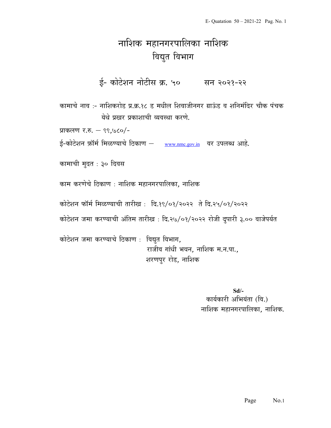# नाशिक महानगरपालिका नाशिक विद्युत विभाग

ई- कोटेशन नोटीस क्र. ५० सन २०२१-२२

कामाचे नाव :- नाशिकरोड प्र.क्र.१८ ड मधील शिवाजीनगर ग्राऊंड व शनिमंदिर चौक पंचक <u>येथे प्रखर प्रकाशाची व्यवस्था करणे.</u>

प्राकलण र.रु. – ९९,७८०/-

ई-कोटेशन फ़ॉर्म मिळण्याचे ठिकाण – www.nmc.gov.in वर उपलब्ध आहे.

कामाची मुदत : ३० दिवस

काम करणेचे ठिकाण : नाशिक महानगरपालिका, नाशिक

कोटेशन फॉर्म मिळण्याची तारीख: दि.१९/०१/२०२२ ते दि.२५/०१/२०२२

कोटेशन जमा करण्याची अंतिम तारीख : दि.२७/०१/२०२२ रोजी दुपारी ३.०० वाजेपर्यत

कोटेशन जमा करण्याचे ठिकाण : विद्युत विभाग, राजीव गांधी भवन, नाशिक म.न.पा., शरणपुर रोड, नाशिक

> Sd/- कार्यकारी अभियंता (वि.) नाशिक महानगरपालिका, नाशिक.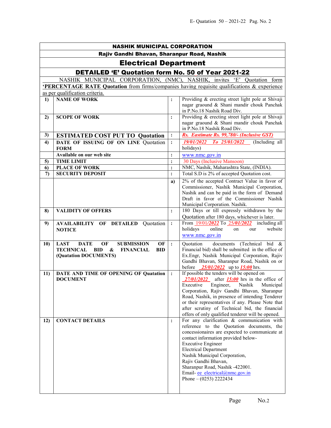| <b>NASHIK MUNICIPAL CORPORATION</b>         |                                                                                                                                      |                |                                                                                                     |
|---------------------------------------------|--------------------------------------------------------------------------------------------------------------------------------------|----------------|-----------------------------------------------------------------------------------------------------|
| Rajiv Gandhi Bhavan, Sharanpur Road, Nashik |                                                                                                                                      |                |                                                                                                     |
| <b>Electrical Department</b>                |                                                                                                                                      |                |                                                                                                     |
|                                             | <b>DETAILED 'E' Quotation form No. 50 of Year 2021-22</b>                                                                            |                |                                                                                                     |
|                                             | NASHIK MUNICIPAL CORPORATION, (NMC), NASHIK, invites 'E' Quotation form                                                              |                |                                                                                                     |
|                                             | <b>PERCENTAGE RATE Quotation</b> from firms/companies having requisite qualifications & experience                                   |                |                                                                                                     |
|                                             | as per qualification criteria.                                                                                                       |                |                                                                                                     |
| $\bf{1}$                                    | <b>NAME OF WORK</b>                                                                                                                  | $\ddot{\cdot}$ | Providing & erecting street light pole at Shivaji<br>nagar graound & Shani mandir chouk Panchak     |
|                                             |                                                                                                                                      |                | in P.No.18 Nashik Road Div.                                                                         |
| 2)                                          | <b>SCOPE OF WORK</b>                                                                                                                 | $\ddot{\cdot}$ | Providing & erecting street light pole at Shivaji                                                   |
|                                             |                                                                                                                                      |                | nagar graound & Shani mandir chouk Panchak                                                          |
|                                             |                                                                                                                                      |                | in P.No.18 Nashik Road Div.                                                                         |
| 3)                                          | <b>ESTIMATED COST PUT TO Quotation</b>                                                                                               | $\ddot{\cdot}$ | Rs. Eastimate Rs. 99,780/- (Inclusive GST)                                                          |
| 4)                                          | DATE OF ISSUING OF ON LINE Quotation<br><b>FORM</b>                                                                                  | $\ddot{\cdot}$ | $To$ 25/01/2022 (Including all<br><i><b>19/01/2022</b></i><br>holidays)                             |
|                                             | Available on our web site                                                                                                            | $\colon$       | www.nmc.gov.in                                                                                      |
| 5)                                          | <b>TIME LIMIT</b>                                                                                                                    | $\colon$       | 30 Days (Inclusive Mansoon)                                                                         |
| 6)                                          | <b>PLACE OF WORK</b>                                                                                                                 | $\vdots$       | NMC, Nashik, Maharashtra State, (INDIA).                                                            |
| 7)                                          | <b>SECURITY DEPOSIT</b>                                                                                                              | $\ddot{\cdot}$ | Total S.D is 2% of accepted Quotation cost.                                                         |
|                                             |                                                                                                                                      | a)             | 2% of the accepted Contract Value in favor of                                                       |
|                                             |                                                                                                                                      |                | Commissioner, Nashik Municipal Corporation,<br>Nashik and can be paid in the form of Demand         |
|                                             |                                                                                                                                      |                | Draft in favor of the Commissioner Nashik                                                           |
|                                             |                                                                                                                                      |                | Municipal Corporation. Nashik.                                                                      |
| 8)                                          | <b>VALIDITY OF OFFERS</b>                                                                                                            | $\ddot{\cdot}$ | 180 Days or till expressly withdrawn by the                                                         |
|                                             |                                                                                                                                      |                | Quotation after 180 days, whichever is later.                                                       |
| 9)                                          | <b>AVAILABILITY OF DETAILED Quotation</b>                                                                                            | $\ddot{\cdot}$ | From 19/01/2022 To 25/01/2022 including all                                                         |
|                                             | <b>NOTICE</b>                                                                                                                        |                | holidays<br>online<br>website<br>on<br>our                                                          |
|                                             |                                                                                                                                      |                | www.nmc.gov.in                                                                                      |
| 10)                                         | <b>LAST</b><br><b>DATE</b><br>OF<br><b>SUBMISSION</b><br>OF<br><b>TECHNICAL</b><br><b>BID</b><br>&<br><b>FINANCIAL</b><br><b>BID</b> | $\ddot{\cdot}$ | documents (Technical bid &<br>Quotation<br>Financial bid) shall be submitted in the office of       |
|                                             | (Quatation DOCUMENTS)                                                                                                                |                | Ex.Engr, Nashik Municipal Corporation, Rajiv                                                        |
|                                             |                                                                                                                                      |                | Gandhi Bhavan, Sharanpur Road, Nashik on or                                                         |
|                                             |                                                                                                                                      |                | before $\frac{25}{01}{2022}$ up to $\frac{15:00}{2}$ hrs.                                           |
| 11)                                         | DATE AND TIME OF OPENING OF Quatation                                                                                                | $\cdot$        | If possible the tenders will be opened on                                                           |
|                                             | <b>DOCUMENT</b>                                                                                                                      |                | $27/01/2022$ after $15:00$ hrs in the office of<br>Executive Engineer, Nashik Municipal             |
|                                             |                                                                                                                                      |                | Corporation, Rajiv Gandhi Bhavan, Sharanpur                                                         |
|                                             |                                                                                                                                      |                | Road, Nashik, in presence of intending Tenderer                                                     |
|                                             |                                                                                                                                      |                | or their representatives if any. Please Note that                                                   |
|                                             |                                                                                                                                      |                | after scrutiny of Technical bid, the financial<br>offers of only qualified tenderer will be opened. |
| 12)                                         | <b>CONTACT DETAILS</b>                                                                                                               | $\ddot{\cdot}$ | For any clarification $\&$ communication with                                                       |
|                                             |                                                                                                                                      |                | reference to the Quotation documents, the                                                           |
|                                             |                                                                                                                                      |                | concessionaires are expected to communicate at                                                      |
|                                             |                                                                                                                                      |                | contact information provided below-                                                                 |
|                                             |                                                                                                                                      |                | <b>Executive Engineer</b><br><b>Electrical Department</b>                                           |
|                                             |                                                                                                                                      |                | Nashik Municipal Corporation,                                                                       |
|                                             |                                                                                                                                      |                | Rajiv Gandhi Bhavan,                                                                                |
|                                             |                                                                                                                                      |                | Sharanpur Road, Nashik -422001.                                                                     |
|                                             |                                                                                                                                      |                | Email-ee electrical@nmc.gov.in                                                                      |
|                                             |                                                                                                                                      |                | Phone $- (0253)$ 2222434                                                                            |
|                                             |                                                                                                                                      |                |                                                                                                     |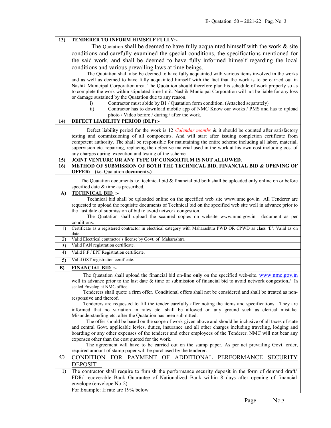| 13)          | TENDERER TO INFORM HIMSELF FULLY:-                                                                                                                                                                     |  |
|--------------|--------------------------------------------------------------------------------------------------------------------------------------------------------------------------------------------------------|--|
|              | The Quotation shall be deemed to have fully acquainted himself with the work $\&$ site                                                                                                                 |  |
|              | conditions and carefully examined the special conditions, the specifications mentioned for                                                                                                             |  |
|              | the said work, and shall be deemed to have fully informed himself regarding the local                                                                                                                  |  |
|              | conditions and various prevailing laws at time beings.                                                                                                                                                 |  |
|              | The Quotation shall also be deemed to have fully acquainted with various items involved in the works                                                                                                   |  |
|              | and as well as deemed to have fully acquainted himself with the fact that the work is to be carried out in                                                                                             |  |
|              | Nashik Municipal Corporation area. The Quotation should therefore plan his schedule of work properly so as                                                                                             |  |
|              | to complete the work within stipulated time limit. Nashik Municipal Corporation will not be liable for any loss                                                                                        |  |
|              | or damage sustained by the Quatation due to any reason.                                                                                                                                                |  |
|              | Contractor must abide by B1 / Quatation form condition. (Attached separately)<br>$\mathbf{i}$                                                                                                          |  |
|              | $\overline{ii}$ )<br>Contractor has to download mobile app of NMC Know our works / PMS and has to upload                                                                                               |  |
|              | photo / Video before / during / after the work.                                                                                                                                                        |  |
| 14)          | DEFECT LIABILITY PERIOD (DLP):-                                                                                                                                                                        |  |
|              | Defect liability period for the work is 12 Calendar months & it should be counted after satisfactory                                                                                                   |  |
|              | testing and commissioning of all components. And will start after issuing completion certificate from                                                                                                  |  |
|              | competent authority. The shall be responsible for maintaining the entire scheme including all labor, material,                                                                                         |  |
|              | supervision etc. repairing, replacing the defective material used in the work at his own cost including cost of                                                                                        |  |
|              | any charges during execution and testing of the scheme.                                                                                                                                                |  |
| 15)<br>16)   | JOINT VENTURE OR ANY TYPE OF CONSORTIUM IS NOT ALLOWED.<br>METHOD OF SUBMISSION OF BOTH THE TECHNICAL BID, FINANCIAL BID & OPENING OF                                                                  |  |
|              | <b>OFFER: - (i.e. Quatation documents.)</b>                                                                                                                                                            |  |
|              |                                                                                                                                                                                                        |  |
|              | The Quatation documents i.e. technical bid $\&$ financial bid both shall be uploaded only online on or before                                                                                          |  |
| $\bf{A}$     | specified date & time as prescribed.<br><b>TECHNICAL BID:</b>                                                                                                                                          |  |
|              | Technical bid shall be uploaded online on the specified web site www.nmc.gov.in All Tenderer are                                                                                                       |  |
|              | requested to upload the requisite documents of Technical bid on the specified web site well in advance prior to                                                                                        |  |
|              | the last date of submission of bid to avoid network congestion.                                                                                                                                        |  |
|              | The Quatation shall upload the scanned copies on website www.nmc.gov.in<br>document as per                                                                                                             |  |
|              | conditions.                                                                                                                                                                                            |  |
| 1)           | Certificate as a registered contractor in electrical category with Maharashtra PWD OR CPWD as class 'E'. Valid as on<br>date.                                                                          |  |
| 2)           | Valid Electrical contractor's license by Govt. of Maharashtra                                                                                                                                          |  |
| 3)           | Valid PAN registration certificate.                                                                                                                                                                    |  |
| 4)           | Valid P.F / EPF Registration certificate.                                                                                                                                                              |  |
| 5)           | Valid GST registration certificate.                                                                                                                                                                    |  |
| B)           | <b>FINANCIAL BID:</b>                                                                                                                                                                                  |  |
|              | The Quatation shall upload the financial bid on-line only on the specified web-site. www.nmc.gov.in                                                                                                    |  |
|              | well in advance prior to the last date & time of submission of financial bid to avoid network congestion./ In                                                                                          |  |
|              | sealed Envelop at NMC office.                                                                                                                                                                          |  |
|              | Tenderers shall quote a firm offer. Conditional offers shall not be considered and shall be treated as non-                                                                                            |  |
|              | responsive and thereof.<br>Tenderers are requested to fill the tender carefully after noting the items and specifications. They are                                                                    |  |
|              | informed that no variation in rates etc. shall be allowed on any ground such as clerical mistake.                                                                                                      |  |
|              | Misunderstanding etc. after the Quatation has been submitted.                                                                                                                                          |  |
|              | The offer should be based on the scope of work given above and should be inclusive of all taxes of state                                                                                               |  |
|              | and central Govt. applicable levies, duties, insurance and all other charges including traveling, lodging and                                                                                          |  |
|              | boarding or any other expenses of the tenderer and other employees of the Tenderer. NMC will not bear any                                                                                              |  |
|              | expenses other than the cost quoted for the work.                                                                                                                                                      |  |
|              |                                                                                                                                                                                                        |  |
|              | The agreement will have to be carried out on the stamp paper. As per act prevailing Govt. order,                                                                                                       |  |
|              | required amount of stamp paper will be purchased by the tenderer.                                                                                                                                      |  |
| $\mathbf{C}$ | CONDITION FOR PAYMENT OF<br>ADDITIONAL PERFORMANCE<br><b>SECURITY</b>                                                                                                                                  |  |
| 1)           | DEPOSIT :-                                                                                                                                                                                             |  |
|              | The contractor shall require to furnish the performance security deposit in the form of demand draft/<br>FDR/ recoverable Bank Guarantee of Nationalized Bank within 8 days after opening of financial |  |
|              | envelope (envelope No-2)                                                                                                                                                                               |  |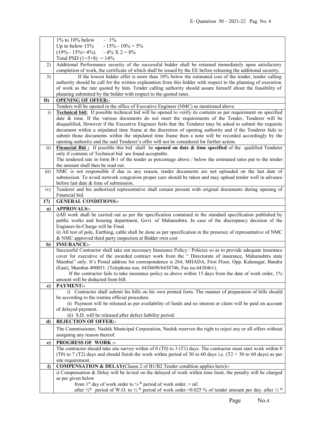|                 | $1\%$ to $10\%$ below<br>$-1\%$                                                                                                                |  |  |
|-----------------|------------------------------------------------------------------------------------------------------------------------------------------------|--|--|
|                 | $-15\% - 10\% = 5\%$<br>Up to below $15%$                                                                                                      |  |  |
|                 | $(19\% - 15\% = 4\%)$ $- 4\%$ X 2 = 8%                                                                                                         |  |  |
|                 | Total PSD $(1+5+8) = 14\%$                                                                                                                     |  |  |
| 2)              | Additional Performance security of the successful bidder shall be returned immediately upon satisfactory                                       |  |  |
|                 | completion of work, the certificate of which shall be issued by the EE before releasing the additional security.                               |  |  |
| 3)              | If the lowest bidder offer is more than 10% below the estimated cost of the tender, tender calling                                             |  |  |
|                 | authority should be call for the written explanation from this bidder with respect to the planning of execution                                |  |  |
|                 | of work as the rate quoted by him. Tender calling authority should assure himself about the feasibility of                                     |  |  |
|                 | planning submitted by the bidder with respect to the quoted rates.                                                                             |  |  |
| D)              | <b>OPENING OF OFFER:-</b>                                                                                                                      |  |  |
|                 | Tenders will be opened in the office of Executive Engineer (NMC) as mentioned above                                                            |  |  |
| i)              | <b>Technical bid:</b> If possible technical bid will be opened to verify its contents as per requirement on specified                          |  |  |
|                 | date & time. If the various documents do not meet the requirements of the Tender, Tenderer will be                                             |  |  |
|                 | disqualified, However if the Executive Engineer feels that the Tenderer may be asked to submit the requisite                                   |  |  |
|                 | document within a stipulated time frame at the discretion of opening authority and if the Tenderer fails to                                    |  |  |
|                 | submit those documents within the stipulated time frame then a note will be recorded accordingly by the                                        |  |  |
|                 | opening authority and the said Tenderer's offer will not be considered for further action.                                                     |  |  |
| $\overline{11}$ | Financial Bid: If possible this bid shall be opened on date & time specified of the qualified Tenderer                                         |  |  |
|                 | only if contents of Technical bid are found acceptable.                                                                                        |  |  |
|                 | The tendered rate in form B-1 of the tender as percentage above / below the estimated rates put to the tender                                  |  |  |
|                 | the amount shall then be read out.                                                                                                             |  |  |
| iii)            | NMC is not responsible if due to any reason, tender documents are not uploaded on the last date of                                             |  |  |
|                 | submission. To avoid network congestion proper care should be taken and may upload tender well in advance                                      |  |  |
|                 | before last date & time of submission.                                                                                                         |  |  |
| iv)             | Tenderer and his authorized representative shall remain present with original documents during opening of                                      |  |  |
|                 | Financial bid.                                                                                                                                 |  |  |
| 17)             | <b>GENERAL CONDITIONS:-</b>                                                                                                                    |  |  |
| a)              | <b>APPROVALS:-</b>                                                                                                                             |  |  |
|                 | i)All work shall be carried out as per the specification contained in the standard specification published by                                  |  |  |
|                 | public works and housing department, Govt. of Maharashtra. In case of the discrepancy decision of the                                          |  |  |
|                 |                                                                                                                                                |  |  |
|                 |                                                                                                                                                |  |  |
|                 | Engineer-In-Charge will be Final.                                                                                                              |  |  |
|                 | ii) All test of pole, Earthing, cable shall be done as per specification in the presence of representative of NMC                              |  |  |
|                 | & NMC approved third party inspection at Bidder own cost                                                                                       |  |  |
| b)              | <b>INSURANCE:-</b>                                                                                                                             |  |  |
|                 | Successful Contractor shall take out necessary Insurance Policy / Policies so as to provide adequate insurance                                 |  |  |
|                 | cover for executive of the awarded contract work from the " Directorate of insurance, Maharashtra state                                        |  |  |
|                 | Mumbai" only. It's Postal address for correspondence is 264, MHADA, First Floor, Opp. Kalanagar, Bandra                                        |  |  |
|                 | (East), Mumbai-400051. (Telephone nos. 6438690/6438746, Fax no.6438461).                                                                       |  |  |
|                 | If the contractor fails to take insurance policy as above within 15 days from the date of work order, 1%                                       |  |  |
|                 | amount will be deducted from bill.                                                                                                             |  |  |
| c)              | <b>PAYMENT:-</b>                                                                                                                               |  |  |
|                 | i) Contractor shall submit his bills on his own printed form. The manner of preparation of bills should                                        |  |  |
|                 | be according to the routine official procedure.                                                                                                |  |  |
|                 | ii) Payment will be released as per availability of funds and no interest or claim will be paid on account                                     |  |  |
|                 | of delayed payment.<br>iii) S.D. will be released after defect liability period.                                                               |  |  |
| d)              | <b>REJECTION OF OFFER:-</b>                                                                                                                    |  |  |
|                 |                                                                                                                                                |  |  |
|                 | The Commissioner, Nashik Municipal Corporation, Nashik reserves the right to reject any or all offers without<br>assigning any reason thereof. |  |  |
|                 |                                                                                                                                                |  |  |
| e)              | <b>PROGRESS OF WORK:-</b>                                                                                                                      |  |  |
|                 | The contractor should take site survey within of $0$ (T0) to 3 (T1) days. The contractor must start work within $0$                            |  |  |
|                 | (T0) to 7 (T2) days and should finish the work within period of 30 to 60 days i.e. (T2 + 30 to 60 days) as per                                 |  |  |
|                 | site requirement.                                                                                                                              |  |  |
| $\mathbf{f}$    | COMPENSATION & DELAY(Clause 2 of B1/B2 Tender condition applies here):-                                                                        |  |  |
|                 | i) Compensation & Delay will be levied on the delayed of work within time limit, the penalty will be charged                                   |  |  |
|                 | as per given below<br>from 1 <sup>st</sup> day of work order to $\frac{1}{4}$ <sup>th</sup> period of work order. = nil                        |  |  |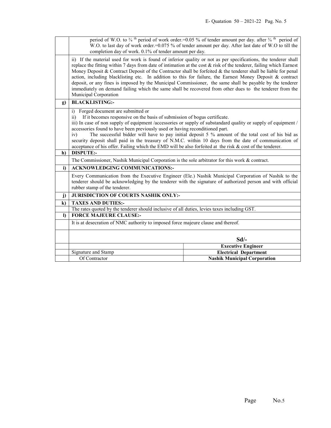|              | period of W.O. to $\frac{3}{4}$ <sup>th</sup> period of work order.=0.05 % of tender amount per day. after $\frac{3}{4}$ <sup>th</sup> period of<br>W.O. to last day of work order.=0.075 % of tender amount per day. After last date of W.O to till the                                                                                                                                                                                                                                                                                                                                                                                                                                                                   |                                                                                                                                                                                                                    |  |
|--------------|----------------------------------------------------------------------------------------------------------------------------------------------------------------------------------------------------------------------------------------------------------------------------------------------------------------------------------------------------------------------------------------------------------------------------------------------------------------------------------------------------------------------------------------------------------------------------------------------------------------------------------------------------------------------------------------------------------------------------|--------------------------------------------------------------------------------------------------------------------------------------------------------------------------------------------------------------------|--|
|              | completion day of work. 0.1% of tender amount per day.                                                                                                                                                                                                                                                                                                                                                                                                                                                                                                                                                                                                                                                                     |                                                                                                                                                                                                                    |  |
|              | ii) If the material used for work is found of inferior quality or not as per specifications, the tenderer shall<br>replace the fitting within 7 days from date of intimation at the cost $\&$ risk of the tenderer, failing which Earnest<br>Money Deposit & Contract Deposit of the Contractor shall be forfeited & the tenderer shall be liable for penal<br>action, including blacklisting etc. In addition to this for failure, the Earnest Money Deposit & contract<br>deposit, or any fines is imposed by the Municipal Commissioner, the same shall be payable by the tenderer<br>immediately on demand failing which the same shall be recovered from other dues to the tenderer from the<br>Municipal Corporation |                                                                                                                                                                                                                    |  |
| $\mathbf{g}$ | <b>BLACKLISTING:-</b>                                                                                                                                                                                                                                                                                                                                                                                                                                                                                                                                                                                                                                                                                                      |                                                                                                                                                                                                                    |  |
|              | Forged document are submitted or<br>i)                                                                                                                                                                                                                                                                                                                                                                                                                                                                                                                                                                                                                                                                                     |                                                                                                                                                                                                                    |  |
|              | If it becomes responsive on the basis of submission of bogus certificate.<br>$\overline{11}$                                                                                                                                                                                                                                                                                                                                                                                                                                                                                                                                                                                                                               |                                                                                                                                                                                                                    |  |
|              | iii) In case of non supply of equipment /accessories or supply of substandard quality or supply of equipment /                                                                                                                                                                                                                                                                                                                                                                                                                                                                                                                                                                                                             |                                                                                                                                                                                                                    |  |
|              | accessories found to have been previously used or having reconditioned part.                                                                                                                                                                                                                                                                                                                                                                                                                                                                                                                                                                                                                                               |                                                                                                                                                                                                                    |  |
|              | The successful bidder will have to pay initial deposit 5 % amount of the total cost of his bid as<br>iv)<br>security deposit shall paid in the treasury of N.M.C. within 10 days from the date of communication of                                                                                                                                                                                                                                                                                                                                                                                                                                                                                                         |                                                                                                                                                                                                                    |  |
|              | acceptance of his offer. Failing which the EMD will be also forfeited at the risk $\&$ cost of the tenderer.                                                                                                                                                                                                                                                                                                                                                                                                                                                                                                                                                                                                               |                                                                                                                                                                                                                    |  |
| h)           | <b>DISPUTE:-</b>                                                                                                                                                                                                                                                                                                                                                                                                                                                                                                                                                                                                                                                                                                           |                                                                                                                                                                                                                    |  |
|              | The Commissioner, Nashik Municipal Corporation is the sole arbitrator for this work $\&$ contract.                                                                                                                                                                                                                                                                                                                                                                                                                                                                                                                                                                                                                         |                                                                                                                                                                                                                    |  |
|              |                                                                                                                                                                                                                                                                                                                                                                                                                                                                                                                                                                                                                                                                                                                            |                                                                                                                                                                                                                    |  |
| i)           | <b>ACKNOWLEDGING COMMUNICATIONS:-</b>                                                                                                                                                                                                                                                                                                                                                                                                                                                                                                                                                                                                                                                                                      |                                                                                                                                                                                                                    |  |
|              | rubber stamp of the tenderer.                                                                                                                                                                                                                                                                                                                                                                                                                                                                                                                                                                                                                                                                                              | Every Communication from the Executive Engineer (Ele.) Nashik Municipal Corporation of Nashik to the<br>tenderer should be acknowledging by the tenderer with the signature of authorized person and with official |  |
| $\mathbf{j}$ | <b>JURISDICTION OF COURTS NASHIK ONLY:-</b>                                                                                                                                                                                                                                                                                                                                                                                                                                                                                                                                                                                                                                                                                |                                                                                                                                                                                                                    |  |
| $\bf k)$     | <b>TAXES AND DUTIES:-</b>                                                                                                                                                                                                                                                                                                                                                                                                                                                                                                                                                                                                                                                                                                  |                                                                                                                                                                                                                    |  |
|              | The rates quoted by the tenderer should inclusive of all duties, levies taxes including GST.                                                                                                                                                                                                                                                                                                                                                                                                                                                                                                                                                                                                                               |                                                                                                                                                                                                                    |  |
| $\mathbf{D}$ | <b>FORCE MAJEURE CLAUSE:-</b>                                                                                                                                                                                                                                                                                                                                                                                                                                                                                                                                                                                                                                                                                              |                                                                                                                                                                                                                    |  |
|              | It is at desecration of NMC authority to imposed force majeure clause and thereof.                                                                                                                                                                                                                                                                                                                                                                                                                                                                                                                                                                                                                                         |                                                                                                                                                                                                                    |  |
|              |                                                                                                                                                                                                                                                                                                                                                                                                                                                                                                                                                                                                                                                                                                                            |                                                                                                                                                                                                                    |  |
|              |                                                                                                                                                                                                                                                                                                                                                                                                                                                                                                                                                                                                                                                                                                                            | $Sd$ .                                                                                                                                                                                                             |  |
|              |                                                                                                                                                                                                                                                                                                                                                                                                                                                                                                                                                                                                                                                                                                                            | <b>Executive Engineer</b>                                                                                                                                                                                          |  |
|              | Signature and Stamp<br>Of Contractor                                                                                                                                                                                                                                                                                                                                                                                                                                                                                                                                                                                                                                                                                       | <b>Electrical Department</b><br><b>Nashik Municipal Corporation</b>                                                                                                                                                |  |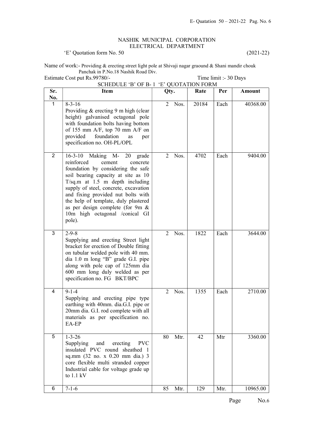#### NASHIK MUNICIPAL CORPORATION ELECTRICAL DEPARTMENT

'E' Quotation form No. 50 (2021-22)

Name of work:- Providing & erecting street light pole at Shivaji nagar graound & Shani mandir chouk Panchak in P.No.18 Nashik Road Div. Estimate Cost put Rs.99780/- Time limit :- 30 Days

### Sr. No. Item 1980 Oty. Rate Per Amount  $1 \t 8-3-16$ Providing & erecting 9 m high (clear height) galvanised octagonal pole with foundation bolts having bottom of 155 mm A/F, top 70 mm A/F on provided foundation as per specification no. OH-PL/OPL 2 Nos. 20184 Each 40368.00 2 16-3-10 Making M- 20 grade reinforced cement concrete foundation by considering the safe soil bearing capacity at site as 10 T/sq.m at 1.5 m depth including supply of steel, concrete, excavation and fixing provided nut bolts with the help of template, duly plastered as per design complete (for 9m & 10m high octagonal /conical GI pole). 2 Nos. 4702 Each 9404.00  $3 \mid 2 - 9 - 8$ Supplying and erecting Street light bracket for erection of Double fitting on tubular welded pole with 40 mm. dia 1.0 m long "B" grade G.I. pipe along with pole cap of 125mm dia 600 mm long duly welded as per specification no. FG BKT/BPC 2 Nos. 1822 Each 3644.00  $4 \mid 9-1-4$ Supplying and erecting pipe type earthing with 40mm. dia.G.I. pipe or 20mm dia. G.I. rod complete with all materials as per specification no. EA-EP 2 Nos. 1355 Each 2710.00  $5 \t 1-3-26$ Supplying and erecting PVC insulated PVC round sheathed 1 sq.mm (32 no. x 0.20 mm dia.) 3 core flexible multi stranded copper Industrial cable for voltage grade up to 1.1 kV 80 Mtr. 42 | Mtr | 3360.00 6 7-1-6 10965.00 85 Mtr. | 129 | Mtr. | 10965.00

## SCHEDULE 'B' OF B- 1 'E' QUOTATION FORM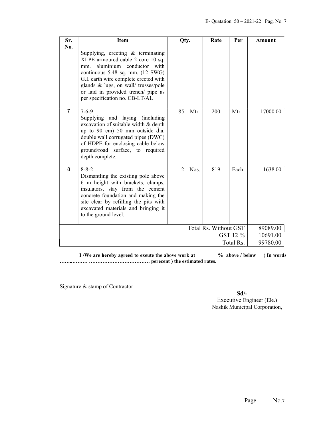| Sr.            | <b>Item</b>                                                                                                                                                                                                                                                                                                         | Qty.                                | Rate                  | Per       | Amount   |
|----------------|---------------------------------------------------------------------------------------------------------------------------------------------------------------------------------------------------------------------------------------------------------------------------------------------------------------------|-------------------------------------|-----------------------|-----------|----------|
| No.            | Supplying, erecting & terminating<br>XLPE armoured cable 2 core 10 sq.<br>aluminium conductor with<br>mm.<br>continuous $5.48$ sq. mm. $(12 \text{ SWG})$<br>G.I. earth wire complete erected with<br>glands & lugs, on wall/ trusses/pole<br>or laid in provided trench/ pipe as<br>per specification no. CB-LT/AL |                                     |                       |           |          |
| $\overline{7}$ | $7 - 6 - 9$<br>Supplying and laying (including<br>excavation of suitable width & depth<br>up to 90 cm) 50 mm outside dia.<br>double wall corrugated pipes (DWC)<br>of HDPE for enclosing cable below<br>ground/road surface, to required<br>depth complete.                                                         | 85<br>Mtr.                          | 200                   | Mtr       | 17000.00 |
| 8              | $8 - 8 - 2$<br>Dismantling the existing pole above<br>6 m height with brackets, clamps,<br>insulators, stay from the cement<br>concrete foundation and making the<br>site clear by refilling the pits with<br>excavated materials and bringing it<br>to the ground level.                                           | Nos.<br>$\mathcal{D}_{\mathcal{L}}$ | 819                   | Each      | 1638.00  |
|                |                                                                                                                                                                                                                                                                                                                     |                                     | Total Rs. Without GST |           | 89089.00 |
| GST 12 %       |                                                                                                                                                                                                                                                                                                                     |                                     | 10691.00              |           |          |
|                |                                                                                                                                                                                                                                                                                                                     |                                     |                       | Total Rs. | 99780.00 |

I /We are hereby agreed to exeute the above work at  $\%$  above / below (In words) ……..……… ……………………………… perecent ) the estimated rates.

Signature & stamp of Contractor

Sd/-

 Executive Engineer (Ele.) Nashik Municipal Corporation,